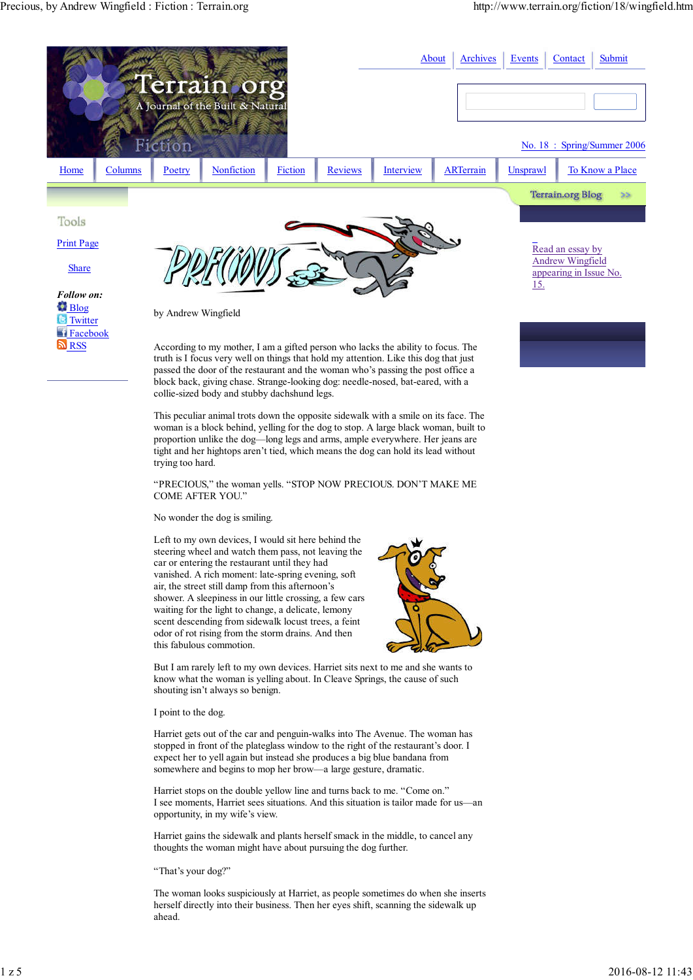

Harriet gains the sidewalk and plants herself smack in the middle, to cancel any thoughts the woman might have about pursuing the dog further.

"That's your dog?"

The woman looks suspiciously at Harriet, as people sometimes do when she inserts herself directly into their business. Then her eyes shift, scanning the sidewalk up ahead.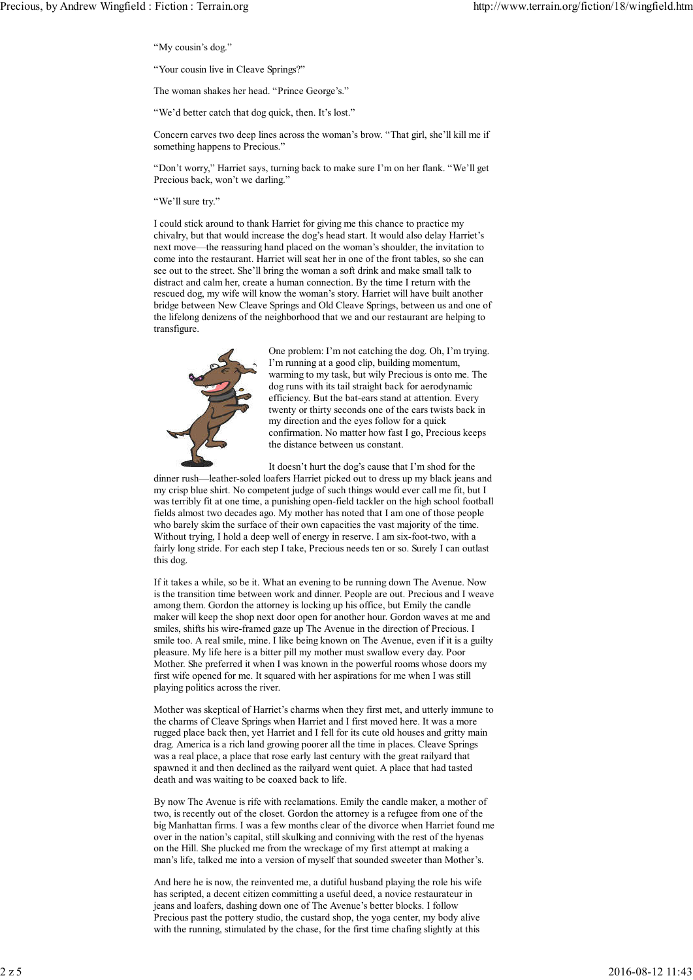"My cousin's dog."

"Your cousin live in Cleave Springs?"

The woman shakes her head. "Prince George's."

"We'd better catch that dog quick, then. It's lost."

Concern carves two deep lines across the woman's brow. "That girl, she'll kill me if something happens to Precious."

"Don't worry," Harriet says, turning back to make sure I'm on her flank. "We'll get Precious back, won't we darling."

"We'll sure try."

I could stick around to thank Harriet for giving me this chance to practice my chivalry, but that would increase the dog's head start. It would also delay Harriet's next move—the reassuring hand placed on the woman's shoulder, the invitation to come into the restaurant. Harriet will seat her in one of the front tables, so she can see out to the street. She'll bring the woman a soft drink and make small talk to distract and calm her, create a human connection. By the time I return with the rescued dog, my wife will know the woman's story. Harriet will have built another bridge between New Cleave Springs and Old Cleave Springs, between us and one of the lifelong denizens of the neighborhood that we and our restaurant are helping to transfigure.



One problem: I'm not catching the dog. Oh, I'm trying. I'm running at a good clip, building momentum, warming to my task, but wily Precious is onto me. The dog runs with its tail straight back for aerodynamic efficiency. But the bat-ears stand at attention. Every twenty or thirty seconds one of the ears twists back in my direction and the eyes follow for a quick confirmation. No matter how fast I go, Precious keeps the distance between us constant.

It doesn't hurt the dog's cause that I'm shod for the

dinner rush—leather-soled loafers Harriet picked out to dress up my black jeans and my crisp blue shirt. No competent judge of such things would ever call me fit, but I was terribly fit at one time, a punishing open-field tackler on the high school football fields almost two decades ago. My mother has noted that I am one of those people who barely skim the surface of their own capacities the vast majority of the time. Without trying, I hold a deep well of energy in reserve. I am six-foot-two, with a fairly long stride. For each step I take, Precious needs ten or so. Surely I can outlast this dog.

If it takes a while, so be it. What an evening to be running down The Avenue. Now is the transition time between work and dinner. People are out. Precious and I weave among them. Gordon the attorney is locking up his office, but Emily the candle maker will keep the shop next door open for another hour. Gordon waves at me and smiles, shifts his wire-framed gaze up The Avenue in the direction of Precious. I smile too. A real smile, mine. I like being known on The Avenue, even if it is a guilty pleasure. My life here is a bitter pill my mother must swallow every day. Poor Mother. She preferred it when I was known in the powerful rooms whose doors my first wife opened for me. It squared with her aspirations for me when I was still playing politics across the river.

Mother was skeptical of Harriet's charms when they first met, and utterly immune to the charms of Cleave Springs when Harriet and I first moved here. It was a more rugged place back then, yet Harriet and I fell for its cute old houses and gritty main drag. America is a rich land growing poorer all the time in places. Cleave Springs was a real place, a place that rose early last century with the great railyard that spawned it and then declined as the railyard went quiet. A place that had tasted death and was waiting to be coaxed back to life.

By now The Avenue is rife with reclamations. Emily the candle maker, a mother of two, is recently out of the closet. Gordon the attorney is a refugee from one of the big Manhattan firms. I was a few months clear of the divorce when Harriet found me over in the nation's capital, still skulking and conniving with the rest of the hyenas on the Hill. She plucked me from the wreckage of my first attempt at making a man's life, talked me into a version of myself that sounded sweeter than Mother's.

And here he is now, the reinvented me, a dutiful husband playing the role his wife has scripted, a decent citizen committing a useful deed, a novice restaurateur in jeans and loafers, dashing down one of The Avenue's better blocks. I follow Precious past the pottery studio, the custard shop, the yoga center, my body alive with the running, stimulated by the chase, for the first time chafing slightly at this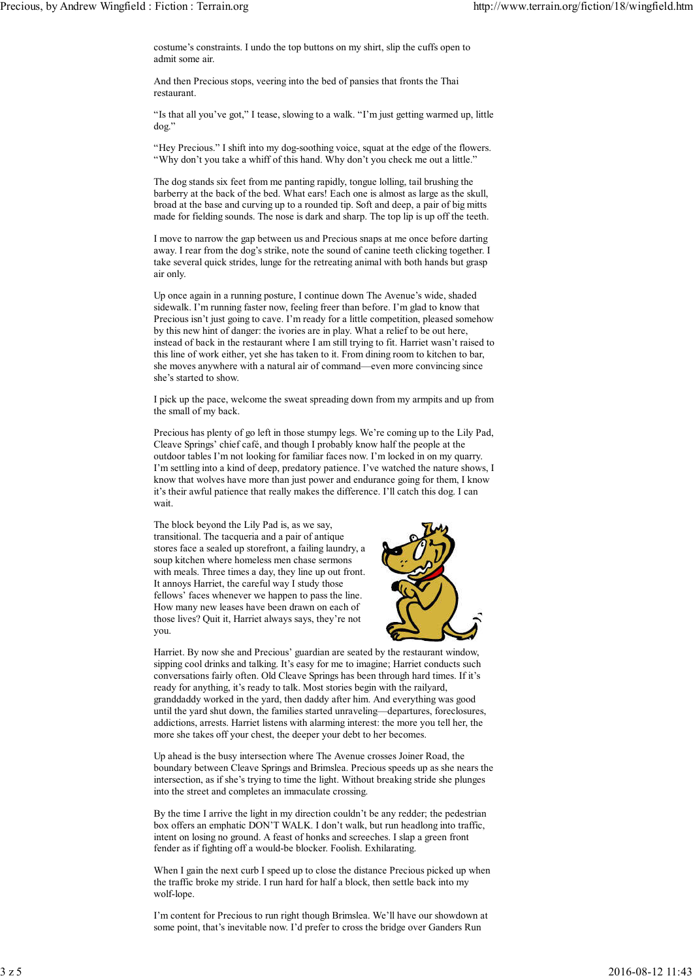costume's constraints. I undo the top buttons on my shirt, slip the cuffs open to admit some air.

And then Precious stops, veering into the bed of pansies that fronts the Thai restaurant.

"Is that all you've got," I tease, slowing to a walk. "I'm just getting warmed up, little dog."

"Hey Precious." I shift into my dog-soothing voice, squat at the edge of the flowers. "Why don't you take a whiff of this hand. Why don't you check me out a little."

The dog stands six feet from me panting rapidly, tongue lolling, tail brushing the barberry at the back of the bed. What ears! Each one is almost as large as the skull, broad at the base and curving up to a rounded tip. Soft and deep, a pair of big mitts made for fielding sounds. The nose is dark and sharp. The top lip is up off the teeth.

I move to narrow the gap between us and Precious snaps at me once before darting away. I rear from the dog's strike, note the sound of canine teeth clicking together. I take several quick strides, lunge for the retreating animal with both hands but grasp air only.

Up once again in a running posture, I continue down The Avenue's wide, shaded sidewalk. I'm running faster now, feeling freer than before. I'm glad to know that Precious isn't just going to cave. I'm ready for a little competition, pleased somehow by this new hint of danger: the ivories are in play. What a relief to be out here, instead of back in the restaurant where I am still trying to fit. Harriet wasn't raised to this line of work either, yet she has taken to it. From dining room to kitchen to bar, she moves anywhere with a natural air of command—even more convincing since she's started to show.

I pick up the pace, welcome the sweat spreading down from my armpits and up from the small of my back.

Precious has plenty of go left in those stumpy legs. We're coming up to the Lily Pad, Cleave Springs' chief café, and though I probably know half the people at the outdoor tables I'm not looking for familiar faces now. I'm locked in on my quarry. I'm settling into a kind of deep, predatory patience. I've watched the nature shows, I know that wolves have more than just power and endurance going for them, I know it's their awful patience that really makes the difference. I'll catch this dog. I can wait.

The block beyond the Lily Pad is, as we say, transitional. The tacqueria and a pair of antique stores face a sealed up storefront, a failing laundry, a soup kitchen where homeless men chase sermons with meals. Three times a day, they line up out front. It annoys Harriet, the careful way I study those fellows' faces whenever we happen to pass the line. How many new leases have been drawn on each of those lives? Quit it, Harriet always says, they're not you.



Harriet. By now she and Precious' guardian are seated by the restaurant window, sipping cool drinks and talking. It's easy for me to imagine; Harriet conducts such conversations fairly often. Old Cleave Springs has been through hard times. If it's ready for anything, it's ready to talk. Most stories begin with the railyard, granddaddy worked in the yard, then daddy after him. And everything was good until the yard shut down, the families started unraveling—departures, foreclosures, addictions, arrests. Harriet listens with alarming interest: the more you tell her, the more she takes off your chest, the deeper your debt to her becomes.

Up ahead is the busy intersection where The Avenue crosses Joiner Road, the boundary between Cleave Springs and Brimslea. Precious speeds up as she nears the intersection, as if she's trying to time the light. Without breaking stride she plunges into the street and completes an immaculate crossing.

By the time I arrive the light in my direction couldn't be any redder; the pedestrian box offers an emphatic DON'T WALK. I don't walk, but run headlong into traffic, intent on losing no ground. A feast of honks and screeches. I slap a green front fender as if fighting off a would-be blocker. Foolish. Exhilarating.

When I gain the next curb I speed up to close the distance Precious picked up when the traffic broke my stride. I run hard for half a block, then settle back into my wolf-lope.

I'm content for Precious to run right though Brimslea. We'll have our showdown at some point, that's inevitable now. I'd prefer to cross the bridge over Ganders Run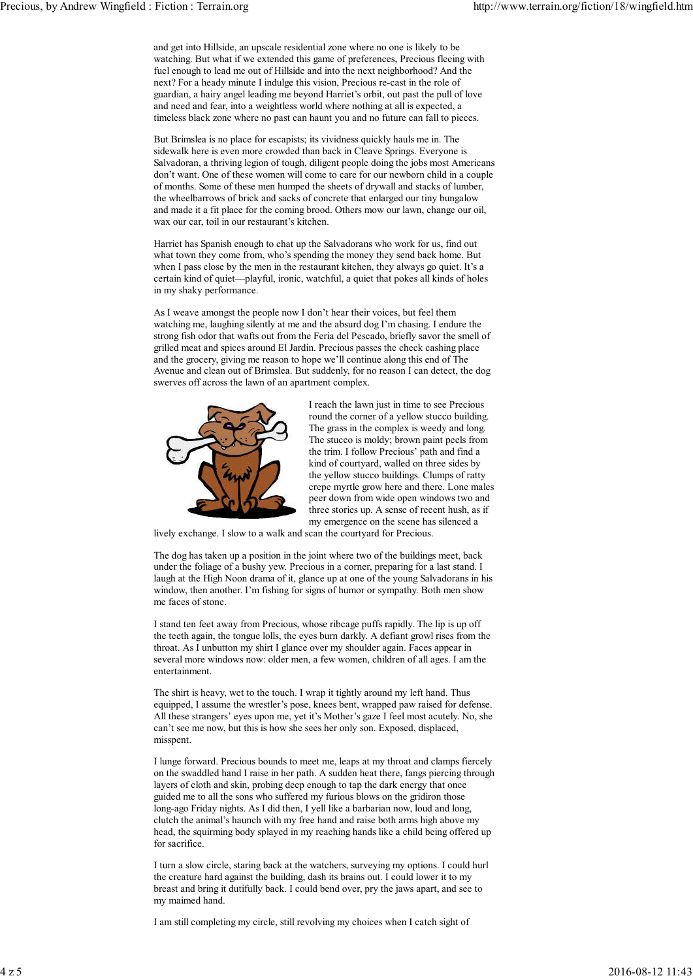and get into Hillside, an upscale residential zone where no one is likely to be watching. But what if we extended this game of preferences, Precious fleeing with fuel enough to lead me out of Hillside and into the next neighborhood? And the next? For a heady minute I indulge this vision, Precious re-cast in the role of guardian, a hairy angel leading me beyond Harriet's orbit, out past the pull of love and need and fear, into a weightless world where nothing at all is expected, a timeless black zone where no past can haunt you and no future can fall to pieces.

But Brimslea is no place for escapists; its vividness quickly hauls me in. The sidewalk here is even more crowded than back in Cleave Springs. Everyone is Salvadoran, a thriving legion of tough, diligent people doing the jobs most Americans don't want. One of these women will come to care for our newborn child in a couple of months. Some of these men humped the sheets of drywall and stacks of lumber, the wheelbarrows of brick and sacks of concrete that enlarged our tiny bungalow and made it a fit place for the coming brood. Others mow our lawn, change our oil, wax our car, toil in our restaurant's kitchen.

Harriet has Spanish enough to chat up the Salvadorans who work for us, find out what town they come from, who's spending the money they send back home. But when I pass close by the men in the restaurant kitchen, they always go quiet. It's a certain kind of quiet—playful, ironic, watchful, a quiet that pokes all kinds of holes in my shaky performance.

As I weave amongst the people now I don't hear their voices, but feel them watching me, laughing silently at me and the absurd dog I'm chasing. I endure the strong fish odor that wafts out from the Feria del Pescado, briefly savor the smell of grilled meat and spices around El Jardin. Precious passes the check cashing place and the grocery, giving me reason to hope we'll continue along this end of The Avenue and clean out of Brimslea. But suddenly, for no reason I can detect, the dog swerves off across the lawn of an apartment complex.



I reach the lawn just in time to see Precious round the corner of a yellow stucco building. The grass in the complex is weedy and long. The stucco is moldy; brown paint peels from the trim. I follow Precious' path and find a kind of courtyard, walled on three sides by the yellow stucco buildings. Clumps of ratty crepe myrtle grow here and there. Lone males peer down from wide open windows two and three stories up. A sense of recent hush, as if my emergence on the scene has silenced a

lively exchange. I slow to a walk and scan the courtyard for Precious.

The dog has taken up a position in the joint where two of the buildings meet, back under the foliage of a bushy yew. Precious in a corner, preparing for a last stand. I laugh at the High Noon drama of it, glance up at one of the young Salvadorans in his window, then another. I'm fishing for signs of humor or sympathy. Both men show me faces of stone.

I stand ten feet away from Precious, whose ribcage puffs rapidly. The lip is up off the teeth again, the tongue lolls, the eyes burn darkly. A defiant growl rises from the throat. As I unbutton my shirt I glance over my shoulder again. Faces appear in several more windows now: older men, a few women, children of all ages. I am the entertainment.

The shirt is heavy, wet to the touch. I wrap it tightly around my left hand. Thus equipped, I assume the wrestler's pose, knees bent, wrapped paw raised for defense. All these strangers' eyes upon me, yet it's Mother's gaze I feel most acutely. No, she can't see me now, but this is how she sees her only son. Exposed, displaced, misspent.

I lunge forward. Precious bounds to meet me, leaps at my throat and clamps fiercely on the swaddled hand I raise in her path. A sudden heat there, fangs piercing through layers of cloth and skin, probing deep enough to tap the dark energy that once guided me to all the sons who suffered my furious blows on the gridiron those long-ago Friday nights. As I did then, I yell like a barbarian now, loud and long, clutch the animal's haunch with my free hand and raise both arms high above my head, the squirming body splayed in my reaching hands like a child being offered up for sacrifice.

I turn a slow circle, staring back at the watchers, surveying my options. I could hurl the creature hard against the building, dash its brains out. I could lower it to my breast and bring it dutifully back. I could bend over, pry the jaws apart, and see to my maimed hand.

I am still completing my circle, still revolving my choices when I catch sight of